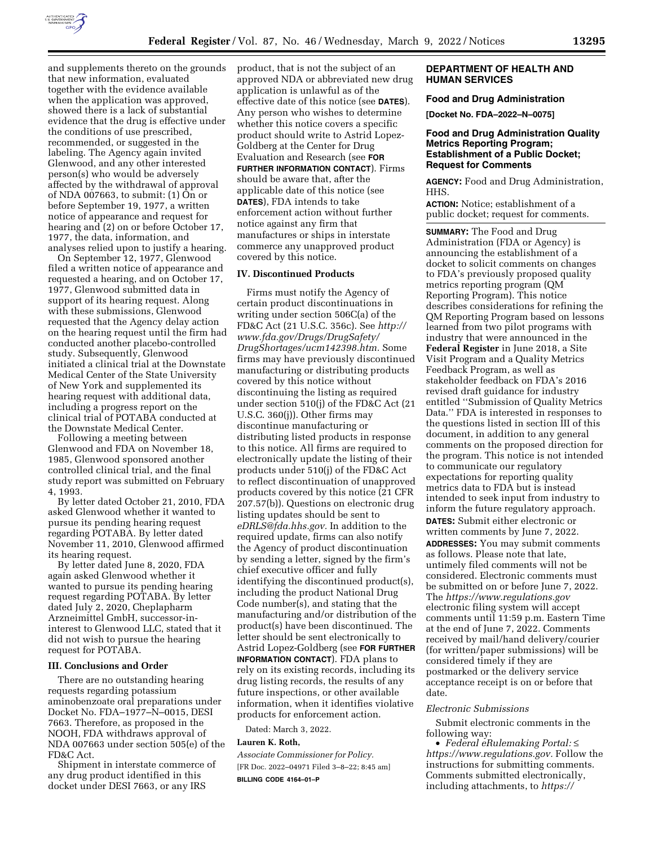

and supplements thereto on the grounds that new information, evaluated together with the evidence available when the application was approved, showed there is a lack of substantial evidence that the drug is effective under the conditions of use prescribed, recommended, or suggested in the labeling. The Agency again invited Glenwood, and any other interested person(s) who would be adversely affected by the withdrawal of approval of NDA 007663, to submit: (1) On or before September 19, 1977, a written notice of appearance and request for hearing and (2) on or before October 17, 1977, the data, information, and analyses relied upon to justify a hearing.

On September 12, 1977, Glenwood filed a written notice of appearance and requested a hearing, and on October 17, 1977, Glenwood submitted data in support of its hearing request. Along with these submissions, Glenwood requested that the Agency delay action on the hearing request until the firm had conducted another placebo-controlled study. Subsequently, Glenwood initiated a clinical trial at the Downstate Medical Center of the State University of New York and supplemented its hearing request with additional data, including a progress report on the clinical trial of POTABA conducted at the Downstate Medical Center.

Following a meeting between Glenwood and FDA on November 18, 1985, Glenwood sponsored another controlled clinical trial, and the final study report was submitted on February 4, 1993.

By letter dated October 21, 2010, FDA asked Glenwood whether it wanted to pursue its pending hearing request regarding POTABA. By letter dated November 11, 2010, Glenwood affirmed its hearing request.

By letter dated June 8, 2020, FDA again asked Glenwood whether it wanted to pursue its pending hearing request regarding POTABA. By letter dated July 2, 2020, Cheplapharm Arzneimittel GmbH, successor-ininterest to Glenwood LLC, stated that it did not wish to pursue the hearing request for POTABA.

### **III. Conclusions and Order**

There are no outstanding hearing requests regarding potassium aminobenzoate oral preparations under Docket No. FDA–1977–N–0015, DESI 7663. Therefore, as proposed in the NOOH, FDA withdraws approval of NDA 007663 under section 505(e) of the FD&C Act.

Shipment in interstate commerce of any drug product identified in this docket under DESI 7663, or any IRS

product, that is not the subject of an approved NDA or abbreviated new drug application is unlawful as of the effective date of this notice (see **DATES**). Any person who wishes to determine whether this notice covers a specific product should write to Astrid Lopez-Goldberg at the Center for Drug Evaluation and Research (see **FOR FURTHER INFORMATION CONTACT**). Firms should be aware that, after the applicable date of this notice (see **DATES**), FDA intends to take enforcement action without further notice against any firm that manufactures or ships in interstate commerce any unapproved product covered by this notice.

#### **IV. Discontinued Products**

Firms must notify the Agency of certain product discontinuations in writing under section 506C(a) of the FD&C Act (21 U.S.C. 356c). See *[http://](http://www.fda.gov/Drugs/DrugSafety/DrugShortages/ucm142398.htm) [www.fda.gov/Drugs/DrugSafety/](http://www.fda.gov/Drugs/DrugSafety/DrugShortages/ucm142398.htm) [DrugShortages/ucm142398.htm.](http://www.fda.gov/Drugs/DrugSafety/DrugShortages/ucm142398.htm)* Some firms may have previously discontinued manufacturing or distributing products covered by this notice without discontinuing the listing as required under section 510(j) of the FD&C Act (21 U.S.C. 360(j)). Other firms may discontinue manufacturing or distributing listed products in response to this notice. All firms are required to electronically update the listing of their products under 510(j) of the FD&C Act to reflect discontinuation of unapproved products covered by this notice (21 CFR 207.57(b)). Questions on electronic drug listing updates should be sent to *[eDRLS@fda.hhs.gov.](mailto:eDRLS@fda.hhs.gov)* In addition to the required update, firms can also notify the Agency of product discontinuation by sending a letter, signed by the firm's chief executive officer and fully identifying the discontinued product(s), including the product National Drug Code number(s), and stating that the manufacturing and/or distribution of the product(s) have been discontinued. The letter should be sent electronically to Astrid Lopez-Goldberg (see **FOR FURTHER INFORMATION CONTACT**). FDA plans to rely on its existing records, including its drug listing records, the results of any future inspections, or other available information, when it identifies violative products for enforcement action.

Dated: March 3, 2022.

### **Lauren K. Roth,**

*Associate Commissioner for Policy.*  [FR Doc. 2022–04971 Filed 3–8–22; 8:45 am] **BILLING CODE 4164–01–P** 

## **DEPARTMENT OF HEALTH AND HUMAN SERVICES**

#### **Food and Drug Administration**

**[Docket No. FDA–2022–N–0075]** 

### **Food and Drug Administration Quality Metrics Reporting Program; Establishment of a Public Docket; Request for Comments**

**AGENCY:** Food and Drug Administration, HHS.

**ACTION:** Notice; establishment of a public docket; request for comments.

**SUMMARY:** The Food and Drug Administration (FDA or Agency) is announcing the establishment of a docket to solicit comments on changes to FDA's previously proposed quality metrics reporting program (QM Reporting Program). This notice describes considerations for refining the QM Reporting Program based on lessons learned from two pilot programs with industry that were announced in the **Federal Register** in June 2018, a Site Visit Program and a Quality Metrics Feedback Program, as well as stakeholder feedback on FDA's 2016 revised draft guidance for industry entitled ''Submission of Quality Metrics Data.'' FDA is interested in responses to the questions listed in section III of this document, in addition to any general comments on the proposed direction for the program. This notice is not intended to communicate our regulatory expectations for reporting quality metrics data to FDA but is instead intended to seek input from industry to inform the future regulatory approach. **DATES:** Submit either electronic or written comments by June 7, 2022. **ADDRESSES:** You may submit comments as follows. Please note that late, untimely filed comments will not be considered. Electronic comments must be submitted on or before June 7, 2022. The *<https://www.regulations.gov>* electronic filing system will accept comments until 11:59 p.m. Eastern Time at the end of June 7, 2022. Comments received by mail/hand delivery/courier (for written/paper submissions) will be considered timely if they are postmarked or the delivery service acceptance receipt is on or before that date.

#### *Electronic Submissions*

Submit electronic comments in the following way:

• *Federal eRulemaking Portal:* ≤ *[https://www.regulations.gov.](https://www.regulations.gov)* Follow the instructions for submitting comments. Comments submitted electronically, including attachments, to *[https://](http://www.regulations.gov)*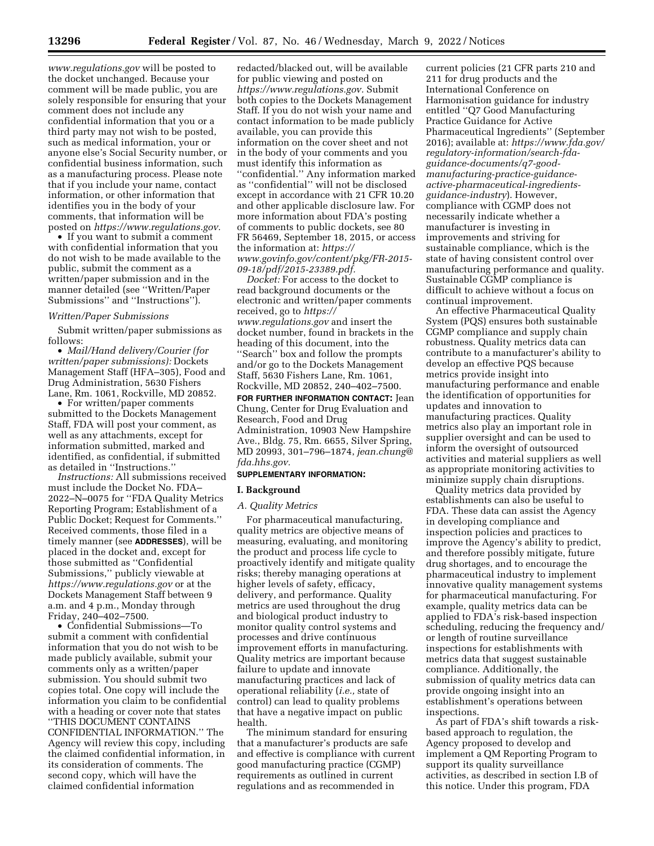*[www.regulations.gov](http://www.regulations.gov)* will be posted to the docket unchanged. Because your comment will be made public, you are solely responsible for ensuring that your comment does not include any confidential information that you or a third party may not wish to be posted, such as medical information, your or anyone else's Social Security number, or confidential business information, such as a manufacturing process. Please note that if you include your name, contact information, or other information that identifies you in the body of your comments, that information will be posted on *[https://www.regulations.gov.](https://www.regulations.gov)* 

• If you want to submit a comment with confidential information that you do not wish to be made available to the public, submit the comment as a written/paper submission and in the manner detailed (see ''Written/Paper Submissions'' and ''Instructions'').

## *Written/Paper Submissions*

Submit written/paper submissions as follows:

• *Mail/Hand delivery/Courier (for written/paper submissions):* Dockets Management Staff (HFA–305), Food and Drug Administration, 5630 Fishers Lane, Rm. 1061, Rockville, MD 20852.

• For written/paper comments submitted to the Dockets Management Staff, FDA will post your comment, as well as any attachments, except for information submitted, marked and identified, as confidential, if submitted as detailed in ''Instructions.''

*Instructions:* All submissions received must include the Docket No. FDA– 2022–N–0075 for ''FDA Quality Metrics Reporting Program; Establishment of a Public Docket; Request for Comments.'' Received comments, those filed in a timely manner (see **ADDRESSES**), will be placed in the docket and, except for those submitted as ''Confidential Submissions,'' publicly viewable at *<https://www.regulations.gov>* or at the Dockets Management Staff between 9 a.m. and 4 p.m., Monday through Friday, 240–402–7500.

• Confidential Submissions—To submit a comment with confidential information that you do not wish to be made publicly available, submit your comments only as a written/paper submission. You should submit two copies total. One copy will include the information you claim to be confidential with a heading or cover note that states ''THIS DOCUMENT CONTAINS CONFIDENTIAL INFORMATION.'' The Agency will review this copy, including the claimed confidential information, in its consideration of comments. The second copy, which will have the claimed confidential information

redacted/blacked out, will be available for public viewing and posted on *[https://www.regulations.gov.](https://www.regulations.gov)* Submit both copies to the Dockets Management Staff. If you do not wish your name and contact information to be made publicly available, you can provide this information on the cover sheet and not in the body of your comments and you must identify this information as ''confidential.'' Any information marked as ''confidential'' will not be disclosed except in accordance with 21 CFR 10.20 and other applicable disclosure law. For more information about FDA's posting of comments to public dockets, see 80 FR 56469, September 18, 2015, or access the information at: *[https://](https://www.govinfo.gov/content/pkg/FR-2015-09-18/pdf/2015-23389.pdf) [www.govinfo.gov/content/pkg/FR-2015-](https://www.govinfo.gov/content/pkg/FR-2015-09-18/pdf/2015-23389.pdf) [09-18/pdf/2015-23389.pdf.](https://www.govinfo.gov/content/pkg/FR-2015-09-18/pdf/2015-23389.pdf)* 

*Docket:* For access to the docket to read background documents or the electronic and written/paper comments received, go to *[https://](https://www.regulations.gov) [www.regulations.gov](https://www.regulations.gov)* and insert the docket number, found in brackets in the heading of this document, into the ''Search'' box and follow the prompts and/or go to the Dockets Management Staff, 5630 Fishers Lane, Rm. 1061, Rockville, MD 20852, 240–402–7500. **FOR FURTHER INFORMATION CONTACT:** Jean Chung, Center for Drug Evaluation and Research, Food and Drug Administration, 10903 New Hampshire Ave., Bldg. 75, Rm. 6655, Silver Spring, MD 20993, 301–796–1874, *[jean.chung@](mailto:jean.chung@fda.hhs.gov) [fda.hhs.gov.](mailto:jean.chung@fda.hhs.gov)* 

#### **SUPPLEMENTARY INFORMATION:**

#### **I. Background**

### *A. Quality Metrics*

For pharmaceutical manufacturing, quality metrics are objective means of measuring, evaluating, and monitoring the product and process life cycle to proactively identify and mitigate quality risks; thereby managing operations at higher levels of safety, efficacy, delivery, and performance. Quality metrics are used throughout the drug and biological product industry to monitor quality control systems and processes and drive continuous improvement efforts in manufacturing. Quality metrics are important because failure to update and innovate manufacturing practices and lack of operational reliability (*i.e.,* state of control) can lead to quality problems that have a negative impact on public health.

The minimum standard for ensuring that a manufacturer's products are safe and effective is compliance with current good manufacturing practice (CGMP) requirements as outlined in current regulations and as recommended in

current policies (21 CFR parts 210 and 211 for drug products and the International Conference on Harmonisation guidance for industry entitled ''Q7 Good Manufacturing Practice Guidance for Active Pharmaceutical Ingredients'' (September 2016); available at: *[https://www.fda.gov/](https://www.fda.gov/regulatory-information/search-fda-guidance-documents/q7-good-manufacturing-practice-guidance-active-pharmaceutical-ingredients-guidance-industry)  [regulatory-information/search-fda](https://www.fda.gov/regulatory-information/search-fda-guidance-documents/q7-good-manufacturing-practice-guidance-active-pharmaceutical-ingredients-guidance-industry)[guidance-documents/q7-good](https://www.fda.gov/regulatory-information/search-fda-guidance-documents/q7-good-manufacturing-practice-guidance-active-pharmaceutical-ingredients-guidance-industry)[manufacturing-practice-guidance](https://www.fda.gov/regulatory-information/search-fda-guidance-documents/q7-good-manufacturing-practice-guidance-active-pharmaceutical-ingredients-guidance-industry)[active-pharmaceutical-ingredients](https://www.fda.gov/regulatory-information/search-fda-guidance-documents/q7-good-manufacturing-practice-guidance-active-pharmaceutical-ingredients-guidance-industry)[guidance-industry](https://www.fda.gov/regulatory-information/search-fda-guidance-documents/q7-good-manufacturing-practice-guidance-active-pharmaceutical-ingredients-guidance-industry)*). However, compliance with CGMP does not necessarily indicate whether a manufacturer is investing in improvements and striving for sustainable compliance, which is the state of having consistent control over manufacturing performance and quality. Sustainable CGMP compliance is difficult to achieve without a focus on continual improvement.

An effective Pharmaceutical Quality System (PQS) ensures both sustainable CGMP compliance and supply chain robustness. Quality metrics data can contribute to a manufacturer's ability to develop an effective PQS because metrics provide insight into manufacturing performance and enable the identification of opportunities for updates and innovation to manufacturing practices. Quality metrics also play an important role in supplier oversight and can be used to inform the oversight of outsourced activities and material suppliers as well as appropriate monitoring activities to minimize supply chain disruptions.

Quality metrics data provided by establishments can also be useful to FDA. These data can assist the Agency in developing compliance and inspection policies and practices to improve the Agency's ability to predict, and therefore possibly mitigate, future drug shortages, and to encourage the pharmaceutical industry to implement innovative quality management systems for pharmaceutical manufacturing. For example, quality metrics data can be applied to FDA's risk-based inspection scheduling, reducing the frequency and/ or length of routine surveillance inspections for establishments with metrics data that suggest sustainable compliance. Additionally, the submission of quality metrics data can provide ongoing insight into an establishment's operations between inspections.

As part of FDA's shift towards a riskbased approach to regulation, the Agency proposed to develop and implement a QM Reporting Program to support its quality surveillance activities, as described in section I.B of this notice. Under this program, FDA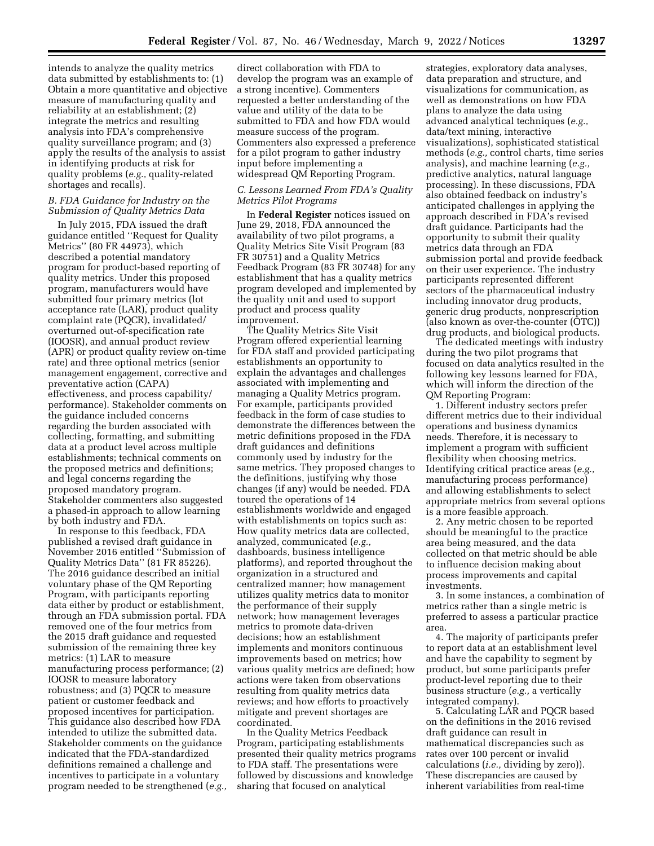intends to analyze the quality metrics data submitted by establishments to: (1) Obtain a more quantitative and objective measure of manufacturing quality and reliability at an establishment; (2) integrate the metrics and resulting analysis into FDA's comprehensive quality surveillance program; and (3) apply the results of the analysis to assist in identifying products at risk for quality problems (*e.g.,* quality-related shortages and recalls).

### *B. FDA Guidance for Industry on the Submission of Quality Metrics Data*

In July 2015, FDA issued the draft guidance entitled ''Request for Quality Metrics'' (80 FR 44973), which described a potential mandatory program for product-based reporting of quality metrics. Under this proposed program, manufacturers would have submitted four primary metrics (lot acceptance rate (LAR), product quality complaint rate (PQCR), invalidated/ overturned out-of-specification rate (IOOSR), and annual product review (APR) or product quality review on-time rate) and three optional metrics (senior management engagement, corrective and preventative action (CAPA) effectiveness, and process capability/ performance). Stakeholder comments on the guidance included concerns regarding the burden associated with collecting, formatting, and submitting data at a product level across multiple establishments; technical comments on the proposed metrics and definitions; and legal concerns regarding the proposed mandatory program. Stakeholder commenters also suggested a phased-in approach to allow learning by both industry and FDA.

In response to this feedback, FDA published a revised draft guidance in November 2016 entitled ''Submission of Quality Metrics Data'' (81 FR 85226). The 2016 guidance described an initial voluntary phase of the QM Reporting Program, with participants reporting data either by product or establishment, through an FDA submission portal. FDA removed one of the four metrics from the 2015 draft guidance and requested submission of the remaining three key metrics: (1) LAR to measure manufacturing process performance; (2) IOOSR to measure laboratory robustness; and (3) PQCR to measure patient or customer feedback and proposed incentives for participation. This guidance also described how FDA intended to utilize the submitted data. Stakeholder comments on the guidance indicated that the FDA-standardized definitions remained a challenge and incentives to participate in a voluntary program needed to be strengthened (*e.g.,* 

direct collaboration with FDA to develop the program was an example of a strong incentive). Commenters requested a better understanding of the value and utility of the data to be submitted to FDA and how FDA would measure success of the program. Commenters also expressed a preference for a pilot program to gather industry input before implementing a widespread QM Reporting Program.

### *C. Lessons Learned From FDA's Quality Metrics Pilot Programs*

In **Federal Register** notices issued on June 29, 2018, FDA announced the availability of two pilot programs, a Quality Metrics Site Visit Program (83 FR 30751) and a Quality Metrics Feedback Program (83 FR 30748) for any establishment that has a quality metrics program developed and implemented by the quality unit and used to support product and process quality improvement.

The Quality Metrics Site Visit Program offered experiential learning for FDA staff and provided participating establishments an opportunity to explain the advantages and challenges associated with implementing and managing a Quality Metrics program. For example, participants provided feedback in the form of case studies to demonstrate the differences between the metric definitions proposed in the FDA draft guidances and definitions commonly used by industry for the same metrics. They proposed changes to the definitions, justifying why those changes (if any) would be needed. FDA toured the operations of 14 establishments worldwide and engaged with establishments on topics such as: How quality metrics data are collected, analyzed, communicated (*e.g.,*  dashboards, business intelligence platforms), and reported throughout the organization in a structured and centralized manner; how management utilizes quality metrics data to monitor the performance of their supply network; how management leverages metrics to promote data-driven decisions; how an establishment implements and monitors continuous improvements based on metrics; how various quality metrics are defined; how actions were taken from observations resulting from quality metrics data reviews; and how efforts to proactively mitigate and prevent shortages are coordinated.

In the Quality Metrics Feedback Program, participating establishments presented their quality metrics programs to FDA staff. The presentations were followed by discussions and knowledge sharing that focused on analytical

strategies, exploratory data analyses, data preparation and structure, and visualizations for communication, as well as demonstrations on how FDA plans to analyze the data using advanced analytical techniques (*e.g.,*  data/text mining, interactive visualizations), sophisticated statistical methods (*e.g.,* control charts, time series analysis), and machine learning (*e.g.,*  predictive analytics, natural language processing). In these discussions, FDA also obtained feedback on industry's anticipated challenges in applying the approach described in FDA's revised draft guidance. Participants had the opportunity to submit their quality metrics data through an FDA submission portal and provide feedback on their user experience. The industry participants represented different sectors of the pharmaceutical industry including innovator drug products, generic drug products, nonprescription (also known as over-the-counter (OTC)) drug products, and biological products.

The dedicated meetings with industry during the two pilot programs that focused on data analytics resulted in the following key lessons learned for FDA, which will inform the direction of the QM Reporting Program:

1. Different industry sectors prefer different metrics due to their individual operations and business dynamics needs. Therefore, it is necessary to implement a program with sufficient flexibility when choosing metrics. Identifying critical practice areas (*e.g.,*  manufacturing process performance) and allowing establishments to select appropriate metrics from several options is a more feasible approach.

2. Any metric chosen to be reported should be meaningful to the practice area being measured, and the data collected on that metric should be able to influence decision making about process improvements and capital investments.

3. In some instances, a combination of metrics rather than a single metric is preferred to assess a particular practice area.

4. The majority of participants prefer to report data at an establishment level and have the capability to segment by product, but some participants prefer product-level reporting due to their business structure (*e.g.,* a vertically integrated company).

5. Calculating LAR and PQCR based on the definitions in the 2016 revised draft guidance can result in mathematical discrepancies such as rates over 100 percent or invalid calculations (*i.e.,* dividing by zero)). These discrepancies are caused by inherent variabilities from real-time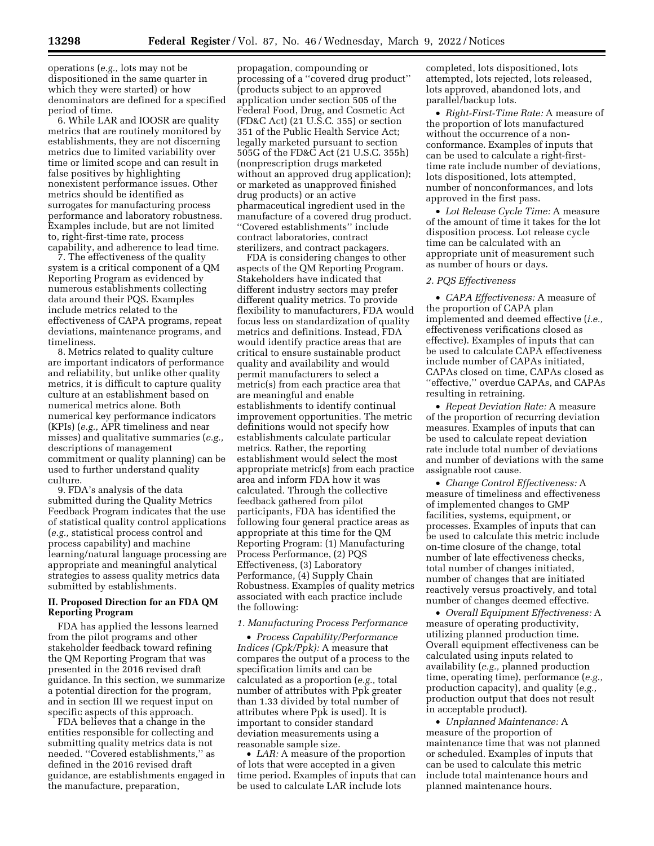operations (*e.g.,* lots may not be dispositioned in the same quarter in which they were started) or how denominators are defined for a specified period of time.

6. While LAR and IOOSR are quality metrics that are routinely monitored by establishments, they are not discerning metrics due to limited variability over time or limited scope and can result in false positives by highlighting nonexistent performance issues. Other metrics should be identified as surrogates for manufacturing process performance and laboratory robustness. Examples include, but are not limited to, right-first-time rate, process capability, and adherence to lead time.

7. The effectiveness of the quality system is a critical component of a QM Reporting Program as evidenced by numerous establishments collecting data around their PQS. Examples include metrics related to the effectiveness of CAPA programs, repeat deviations, maintenance programs, and timeliness.

8. Metrics related to quality culture are important indicators of performance and reliability, but unlike other quality metrics, it is difficult to capture quality culture at an establishment based on numerical metrics alone. Both numerical key performance indicators (KPIs) (*e.g.,* APR timeliness and near misses) and qualitative summaries (*e.g.,*  descriptions of management commitment or quality planning) can be used to further understand quality culture.

9. FDA's analysis of the data submitted during the Quality Metrics Feedback Program indicates that the use of statistical quality control applications (*e.g.,* statistical process control and process capability) and machine learning/natural language processing are appropriate and meaningful analytical strategies to assess quality metrics data submitted by establishments.

## **II. Proposed Direction for an FDA QM Reporting Program**

FDA has applied the lessons learned from the pilot programs and other stakeholder feedback toward refining the QM Reporting Program that was presented in the 2016 revised draft guidance. In this section, we summarize a potential direction for the program, and in section III we request input on specific aspects of this approach.

FDA believes that a change in the entities responsible for collecting and submitting quality metrics data is not needed. ''Covered establishments,'' as defined in the 2016 revised draft guidance, are establishments engaged in the manufacture, preparation,

propagation, compounding or processing of a ''covered drug product'' (products subject to an approved application under section 505 of the Federal Food, Drug, and Cosmetic Act (FD&C Act) (21 U.S.C. 355) or section 351 of the Public Health Service Act; legally marketed pursuant to section 505G of the FD&C Act (21 U.S.C. 355h) (nonprescription drugs marketed without an approved drug application); or marketed as unapproved finished drug products) or an active pharmaceutical ingredient used in the manufacture of a covered drug product. ''Covered establishments'' include contract laboratories, contract sterilizers, and contract packagers.

FDA is considering changes to other aspects of the QM Reporting Program. Stakeholders have indicated that different industry sectors may prefer different quality metrics. To provide flexibility to manufacturers, FDA would focus less on standardization of quality metrics and definitions. Instead, FDA would identify practice areas that are critical to ensure sustainable product quality and availability and would permit manufacturers to select a metric(s) from each practice area that are meaningful and enable establishments to identify continual improvement opportunities. The metric definitions would not specify how establishments calculate particular metrics. Rather, the reporting establishment would select the most appropriate metric(s) from each practice area and inform FDA how it was calculated. Through the collective feedback gathered from pilot participants, FDA has identified the following four general practice areas as appropriate at this time for the QM Reporting Program: (1) Manufacturing Process Performance, (2) PQS Effectiveness, (3) Laboratory Performance, (4) Supply Chain Robustness. Examples of quality metrics associated with each practice include the following:

### *1. Manufacturing Process Performance*

• *Process Capability/Performance Indices (Cpk/Ppk):* A measure that compares the output of a process to the specification limits and can be calculated as a proportion (*e.g.,* total number of attributes with Ppk greater than 1.33 divided by total number of attributes where Ppk is used). It is important to consider standard deviation measurements using a reasonable sample size.

• *LAR:* A measure of the proportion of lots that were accepted in a given time period. Examples of inputs that can be used to calculate LAR include lots

completed, lots dispositioned, lots attempted, lots rejected, lots released, lots approved, abandoned lots, and parallel/backup lots.

• *Right-First-Time Rate:* A measure of the proportion of lots manufactured without the occurrence of a nonconformance. Examples of inputs that can be used to calculate a right-firsttime rate include number of deviations, lots dispositioned, lots attempted, number of nonconformances, and lots approved in the first pass.

• *Lot Release Cycle Time:* A measure of the amount of time it takes for the lot disposition process. Lot release cycle time can be calculated with an appropriate unit of measurement such as number of hours or days.

# *2. PQS Effectiveness*

• *CAPA Effectiveness:* A measure of the proportion of CAPA plan implemented and deemed effective (*i.e.,*  effectiveness verifications closed as effective). Examples of inputs that can be used to calculate CAPA effectiveness include number of CAPAs initiated, CAPAs closed on time, CAPAs closed as ''effective,'' overdue CAPAs, and CAPAs resulting in retraining.

• *Repeat Deviation Rate:* A measure of the proportion of recurring deviation measures. Examples of inputs that can be used to calculate repeat deviation rate include total number of deviations and number of deviations with the same assignable root cause.

• *Change Control Effectiveness:* A measure of timeliness and effectiveness of implemented changes to GMP facilities, systems, equipment, or processes. Examples of inputs that can be used to calculate this metric include on-time closure of the change, total number of late effectiveness checks, total number of changes initiated, number of changes that are initiated reactively versus proactively, and total number of changes deemed effective.

• *Overall Equipment Effectiveness:* A measure of operating productivity, utilizing planned production time. Overall equipment effectiveness can be calculated using inputs related to availability (*e.g.,* planned production time, operating time), performance (*e.g.,*  production capacity), and quality (*e.g.,*  production output that does not result in acceptable product).

• *Unplanned Maintenance:* A measure of the proportion of maintenance time that was not planned or scheduled. Examples of inputs that can be used to calculate this metric include total maintenance hours and planned maintenance hours.